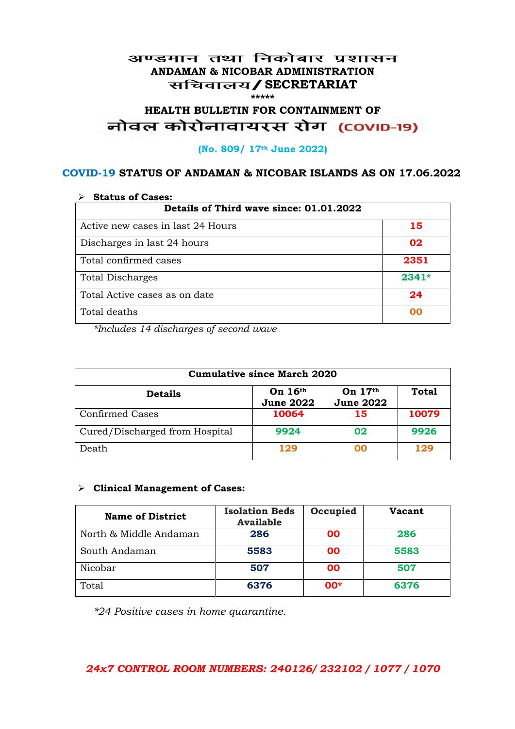#### अण्डमान तथा निकोबार प्रशासन **ANDAMAN & NICOBAR ADMINISTRATION /SECRETARIAT \*\*\*\*\***

# HEALTH BULLETIN FOR CONTAINMENT OF<br>बोवल कोरोनावायरस रोग (COVID-19)

#### **(No. 809/ 17th June 2022)**

#### **COVID-19 STATUS OF ANDAMAN & NICOBAR ISLANDS AS ON 17.06.2022**

| <b>Status of Cases:</b>                 |         |  |
|-----------------------------------------|---------|--|
| Details of Third wave since: 01.01.2022 |         |  |
| Active new cases in last 24 Hours       | 15      |  |
| Discharges in last 24 hours             | 02      |  |
| Total confirmed cases                   | 2351    |  |
| <b>Total Discharges</b>                 | $2341*$ |  |
| Total Active cases as on date           | 24      |  |
| Total deaths                            | oo      |  |

*\*Includes 14 discharges of second wave*

| <b>Cumulative since March 2020</b> |                               |                             |              |
|------------------------------------|-------------------------------|-----------------------------|--------------|
| <b>Details</b>                     | On $16th$<br><b>June 2022</b> | On 17th<br><b>June 2022</b> | <b>Total</b> |
| <b>Confirmed Cases</b>             | 10064                         | 15                          | 10079        |
| Cured/Discharged from Hospital     | 9924                          | 02                          | 9926         |
| Death                              | 129                           | ററ                          | 129          |

#### **Clinical Management of Cases:**

| <b>Name of District</b> | <b>Isolation Beds</b><br><b>Available</b> | Occupied  | Vacant |
|-------------------------|-------------------------------------------|-----------|--------|
| North & Middle Andaman  | 286                                       | <b>OO</b> | 286    |
| South Andaman           | 5583                                      | <b>OO</b> | 5583   |
| Nicobar                 | 507                                       | <b>OO</b> | 507    |
| Total                   | 6376                                      | $00*$     | 6376   |

*\*24 Positive cases in home quarantine.*

#### *24x7 CONTROL ROOM NUMBERS: 240126/ 232102 / 1077 / 1070*